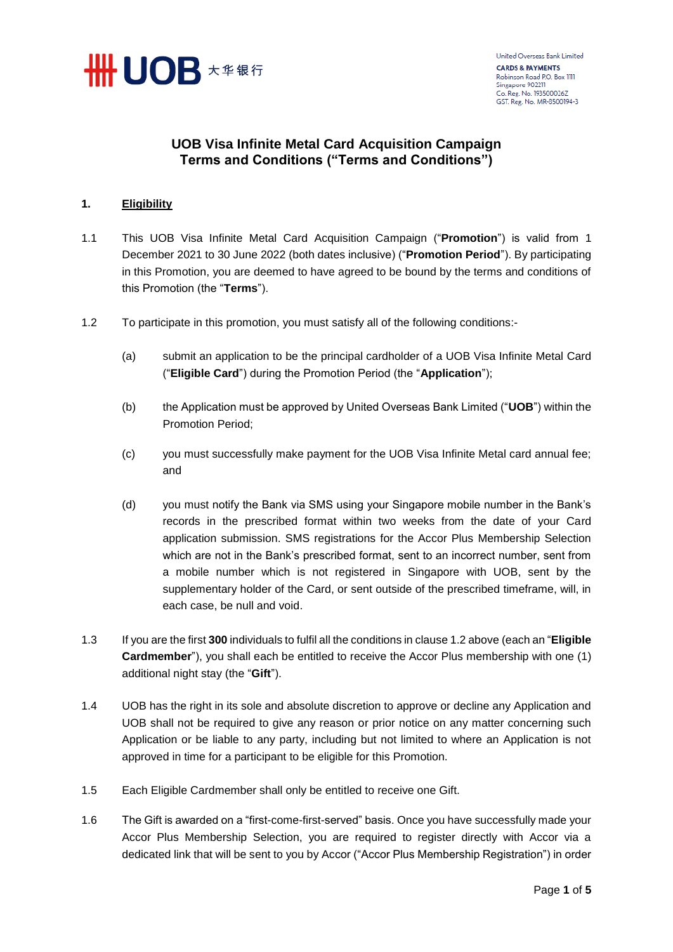

## **UOB Visa Infinite Metal Card Acquisition Campaign Terms and Conditions ("Terms and Conditions")**

## **1. Eligibility**

- 1.1 This UOB Visa Infinite Metal Card Acquisition Campaign ("**Promotion**") is valid from 1 December 2021 to 30 June 2022 (both dates inclusive) ("**Promotion Period**"). By participating in this Promotion, you are deemed to have agreed to be bound by the terms and conditions of this Promotion (the "**Terms**").
- 1.2 To participate in this promotion, you must satisfy all of the following conditions:-
	- (a) submit an application to be the principal cardholder of a UOB Visa Infinite Metal Card ("**Eligible Card**") during the Promotion Period (the "**Application**");
	- (b) the Application must be approved by United Overseas Bank Limited ("**UOB**") within the Promotion Period;
	- (c) you must successfully make payment for the UOB Visa Infinite Metal card annual fee; and
	- (d) you must notify the Bank via SMS using your Singapore mobile number in the Bank's records in the prescribed format within two weeks from the date of your Card application submission. SMS registrations for the Accor Plus Membership Selection which are not in the Bank's prescribed format, sent to an incorrect number, sent from a mobile number which is not registered in Singapore with UOB, sent by the supplementary holder of the Card, or sent outside of the prescribed timeframe, will, in each case, be null and void.
- 1.3 If you are the first **300** individuals to fulfil all the conditions in clause 1.2 above (each an "**Eligible Cardmember**"), you shall each be entitled to receive the Accor Plus membership with one (1) additional night stay (the "**Gift**").
- 1.4 UOB has the right in its sole and absolute discretion to approve or decline any Application and UOB shall not be required to give any reason or prior notice on any matter concerning such Application or be liable to any party, including but not limited to where an Application is not approved in time for a participant to be eligible for this Promotion.
- 1.5 Each Eligible Cardmember shall only be entitled to receive one Gift.
- 1.6 The Gift is awarded on a "first-come-first-served" basis. Once you have successfully made your Accor Plus Membership Selection, you are required to register directly with Accor via a dedicated link that will be sent to you by Accor ("Accor Plus Membership Registration") in order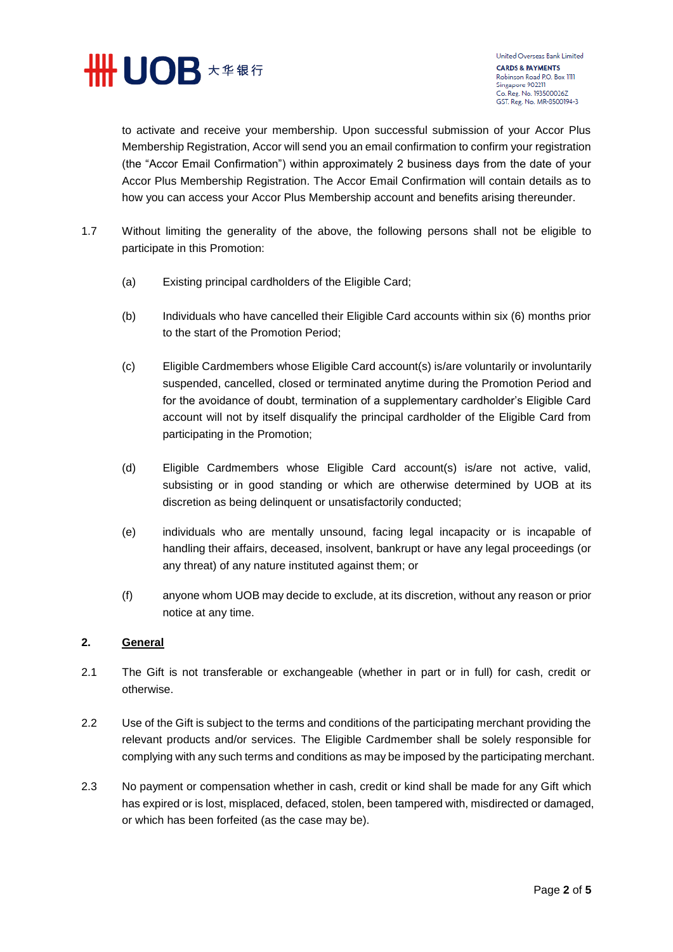

United Overseas Bank Limited **CARDS & PAYMENTS** Robinson Road P.O. Box 1111 Singapore 902211 Co. Reg. No. 193500026Z GST. Reg. No. MR-8500194-3

to activate and receive your membership. Upon successful submission of your Accor Plus Membership Registration, Accor will send you an email confirmation to confirm your registration (the "Accor Email Confirmation") within approximately 2 business days from the date of your Accor Plus Membership Registration. The Accor Email Confirmation will contain details as to how you can access your Accor Plus Membership account and benefits arising thereunder.

- 1.7 Without limiting the generality of the above, the following persons shall not be eligible to participate in this Promotion:
	- (a) Existing principal cardholders of the Eligible Card;
	- (b) Individuals who have cancelled their Eligible Card accounts within six (6) months prior to the start of the Promotion Period;
	- (c) Eligible Cardmembers whose Eligible Card account(s) is/are voluntarily or involuntarily suspended, cancelled, closed or terminated anytime during the Promotion Period and for the avoidance of doubt, termination of a supplementary cardholder's Eligible Card account will not by itself disqualify the principal cardholder of the Eligible Card from participating in the Promotion;
	- (d) Eligible Cardmembers whose Eligible Card account(s) is/are not active, valid, subsisting or in good standing or which are otherwise determined by UOB at its discretion as being delinquent or unsatisfactorily conducted;
	- (e) individuals who are mentally unsound, facing legal incapacity or is incapable of handling their affairs, deceased, insolvent, bankrupt or have any legal proceedings (or any threat) of any nature instituted against them; or
	- (f) anyone whom UOB may decide to exclude, at its discretion, without any reason or prior notice at any time.

## **2. General**

- 2.1 The Gift is not transferable or exchangeable (whether in part or in full) for cash, credit or otherwise.
- 2.2 Use of the Gift is subject to the terms and conditions of the participating merchant providing the relevant products and/or services. The Eligible Cardmember shall be solely responsible for complying with any such terms and conditions as may be imposed by the participating merchant.
- 2.3 No payment or compensation whether in cash, credit or kind shall be made for any Gift which has expired or is lost, misplaced, defaced, stolen, been tampered with, misdirected or damaged, or which has been forfeited (as the case may be).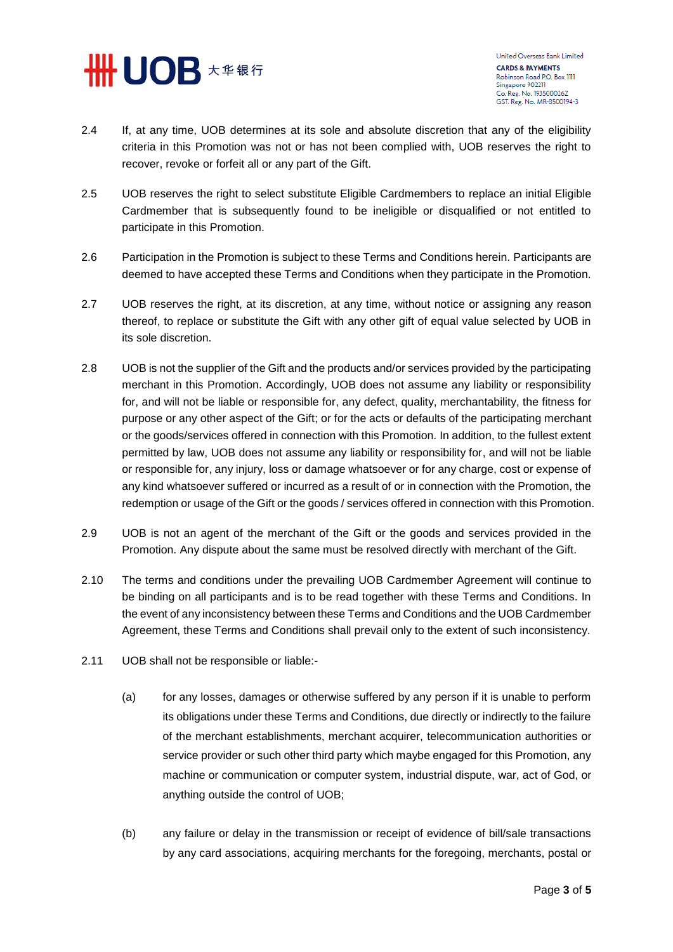

United Overseas Bank Limited **CARDS & PAYMENTS** Robinson Road P.O. Box 1111 Singapore 902211 Co. Reg. No. 193500026Z GST. Reg. No. MR-8500194-3

- 2.4 If, at any time, UOB determines at its sole and absolute discretion that any of the eligibility criteria in this Promotion was not or has not been complied with, UOB reserves the right to recover, revoke or forfeit all or any part of the Gift.
- 2.5 UOB reserves the right to select substitute Eligible Cardmembers to replace an initial Eligible Cardmember that is subsequently found to be ineligible or disqualified or not entitled to participate in this Promotion.
- 2.6 Participation in the Promotion is subject to these Terms and Conditions herein. Participants are deemed to have accepted these Terms and Conditions when they participate in the Promotion.
- 2.7 UOB reserves the right, at its discretion, at any time, without notice or assigning any reason thereof, to replace or substitute the Gift with any other gift of equal value selected by UOB in its sole discretion.
- 2.8 UOB is not the supplier of the Gift and the products and/or services provided by the participating merchant in this Promotion. Accordingly, UOB does not assume any liability or responsibility for, and will not be liable or responsible for, any defect, quality, merchantability, the fitness for purpose or any other aspect of the Gift; or for the acts or defaults of the participating merchant or the goods/services offered in connection with this Promotion. In addition, to the fullest extent permitted by law, UOB does not assume any liability or responsibility for, and will not be liable or responsible for, any injury, loss or damage whatsoever or for any charge, cost or expense of any kind whatsoever suffered or incurred as a result of or in connection with the Promotion, the redemption or usage of the Gift or the goods / services offered in connection with this Promotion.
- 2.9 UOB is not an agent of the merchant of the Gift or the goods and services provided in the Promotion. Any dispute about the same must be resolved directly with merchant of the Gift.
- 2.10 The terms and conditions under the prevailing UOB Cardmember Agreement will continue to be binding on all participants and is to be read together with these Terms and Conditions. In the event of any inconsistency between these Terms and Conditions and the UOB Cardmember Agreement, these Terms and Conditions shall prevail only to the extent of such inconsistency.
- 2.11 UOB shall not be responsible or liable:-
	- (a) for any losses, damages or otherwise suffered by any person if it is unable to perform its obligations under these Terms and Conditions, due directly or indirectly to the failure of the merchant establishments, merchant acquirer, telecommunication authorities or service provider or such other third party which maybe engaged for this Promotion, any machine or communication or computer system, industrial dispute, war, act of God, or anything outside the control of UOB;
	- (b) any failure or delay in the transmission or receipt of evidence of bill/sale transactions by any card associations, acquiring merchants for the foregoing, merchants, postal or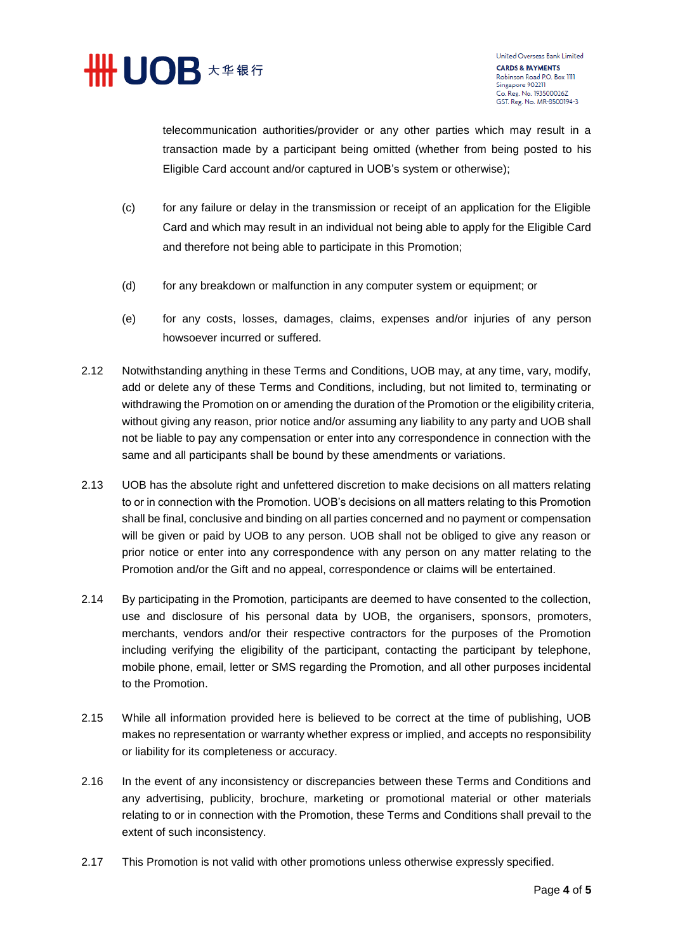

United Overseas Bank Limited **CARDS & PAYMENTS** Robinson Road P.O. Box 1111 Singapore 902211 Co. Reg. No. 193500026Z GST. Reg. No. MR-8500194-3

telecommunication authorities/provider or any other parties which may result in a transaction made by a participant being omitted (whether from being posted to his Eligible Card account and/or captured in UOB's system or otherwise);

- (c) for any failure or delay in the transmission or receipt of an application for the Eligible Card and which may result in an individual not being able to apply for the Eligible Card and therefore not being able to participate in this Promotion;
- (d) for any breakdown or malfunction in any computer system or equipment; or
- (e) for any costs, losses, damages, claims, expenses and/or injuries of any person howsoever incurred or suffered.
- 2.12 Notwithstanding anything in these Terms and Conditions, UOB may, at any time, vary, modify, add or delete any of these Terms and Conditions, including, but not limited to, terminating or withdrawing the Promotion on or amending the duration of the Promotion or the eligibility criteria, without giving any reason, prior notice and/or assuming any liability to any party and UOB shall not be liable to pay any compensation or enter into any correspondence in connection with the same and all participants shall be bound by these amendments or variations.
- 2.13 UOB has the absolute right and unfettered discretion to make decisions on all matters relating to or in connection with the Promotion. UOB's decisions on all matters relating to this Promotion shall be final, conclusive and binding on all parties concerned and no payment or compensation will be given or paid by UOB to any person. UOB shall not be obliged to give any reason or prior notice or enter into any correspondence with any person on any matter relating to the Promotion and/or the Gift and no appeal, correspondence or claims will be entertained.
- 2.14 By participating in the Promotion, participants are deemed to have consented to the collection, use and disclosure of his personal data by UOB, the organisers, sponsors, promoters, merchants, vendors and/or their respective contractors for the purposes of the Promotion including verifying the eligibility of the participant, contacting the participant by telephone, mobile phone, email, letter or SMS regarding the Promotion, and all other purposes incidental to the Promotion.
- 2.15 While all information provided here is believed to be correct at the time of publishing, UOB makes no representation or warranty whether express or implied, and accepts no responsibility or liability for its completeness or accuracy.
- 2.16 In the event of any inconsistency or discrepancies between these Terms and Conditions and any advertising, publicity, brochure, marketing or promotional material or other materials relating to or in connection with the Promotion, these Terms and Conditions shall prevail to the extent of such inconsistency.
- 2.17 This Promotion is not valid with other promotions unless otherwise expressly specified.